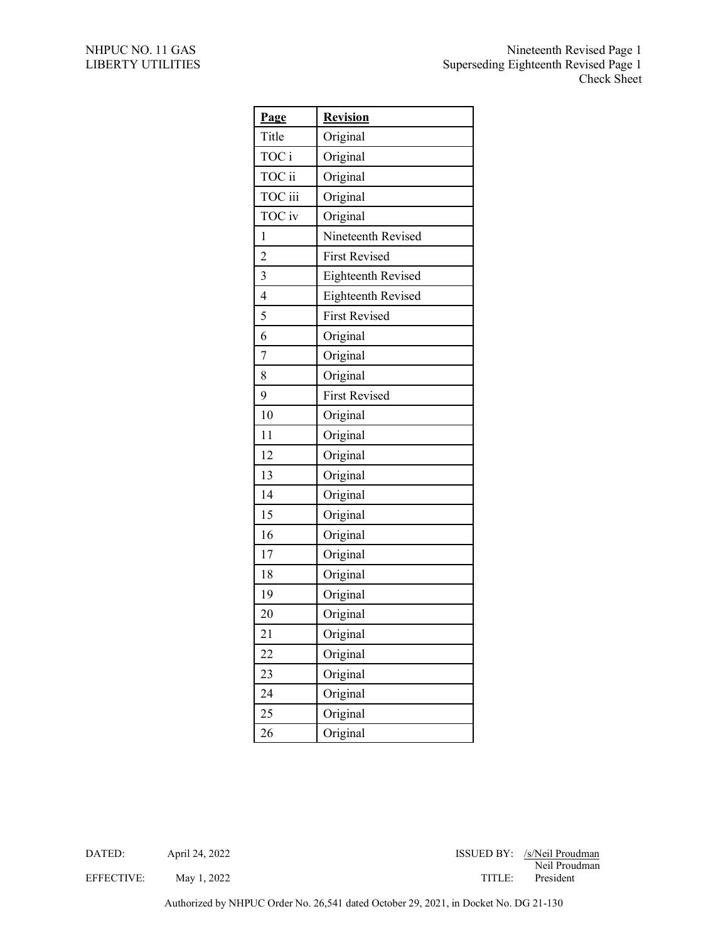| Page            | <b>Revision</b>      |
|-----------------|----------------------|
| Title           | Original             |
| TOC i           | Original             |
| TOC ii          | Original             |
| TOC iii         | Original             |
| TOC iv          | Original             |
| 1               | Nineteenth Revised   |
| $\overline{c}$  | <b>First Revised</b> |
| 3               | Eighteenth Revised   |
| $\overline{4}$  | Eighteenth Revised   |
| 5               | <b>First Revised</b> |
| 6               | Original             |
| 7               | Original             |
| 8               | Original             |
| 9               | <b>First Revised</b> |
| 10              | Original             |
| 11              | Original             |
| 12              | Original             |
| 13              | Original             |
| 14              | Original             |
| 15              | Original             |
| 16              | Original             |
| 17              | Original             |
| 18              | Original             |
| 19              | Original             |
| 20              | Original             |
| $\overline{21}$ | Original             |
| 22              | Original             |
| 23              | Original             |
| 24              | Original             |
| 25              | Original             |
| 26              | Original             |

DATED: April 24, 2022 April 24, 2022 ISSUED BY: /s/Neil Proudman Neil Proudman EFFECTIVE: May 1, 2022 TITLE: President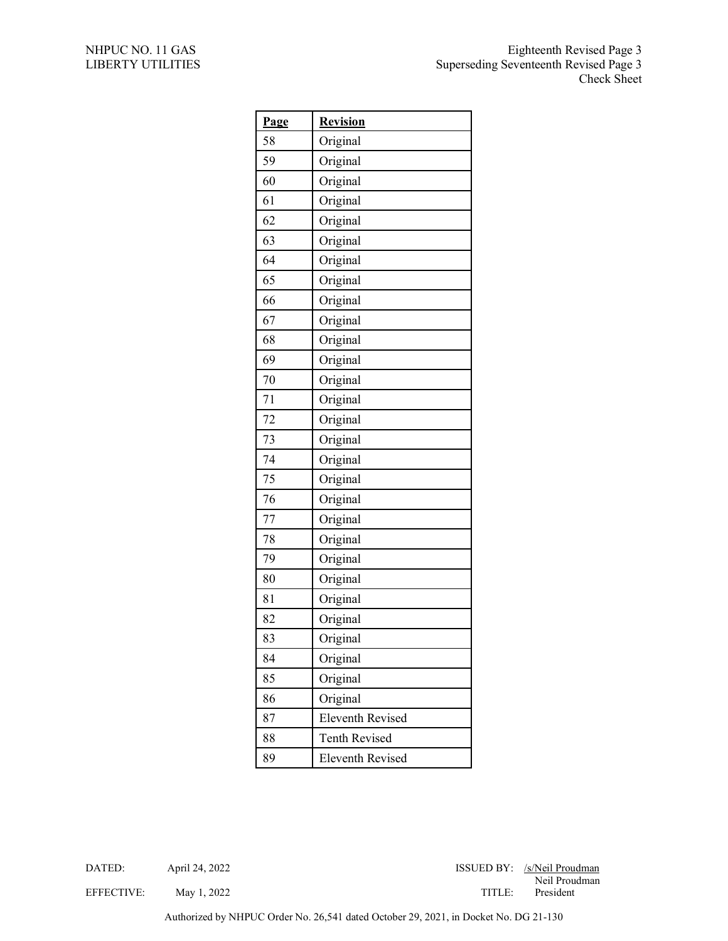| Page | <b>Revision</b>         |
|------|-------------------------|
| 58   | Original                |
| 59   | Original                |
| 60   | Original                |
| 61   | Original                |
| 62   | Original                |
| 63   | Original                |
| 64   | Original                |
| 65   | Original                |
| 66   | Original                |
| 67   | Original                |
| 68   | Original                |
| 69   | Original                |
| 70   | Original                |
| 71   | Original                |
| 72   | Original                |
| 73   | Original                |
| 74   | Original                |
| 75   | Original                |
| 76   | Original                |
| 77   | Original                |
| 78   | Original                |
| 79   | Original                |
| 80   | Original                |
| 81   | Original                |
| 82   | Original                |
| 83   | Original                |
| 84   | Original                |
| 85   | Original                |
| 86   | Original                |
| 87   | <b>Eleventh Revised</b> |
| 88   | <b>Tenth Revised</b>    |
| 89   | <b>Eleventh Revised</b> |

DATED: April 24, 2022 April 24, 2022 ISSUED BY: /s/Neil Proudman Neil Proudman

EFFECTIVE: May 1, 2022 TITLE: President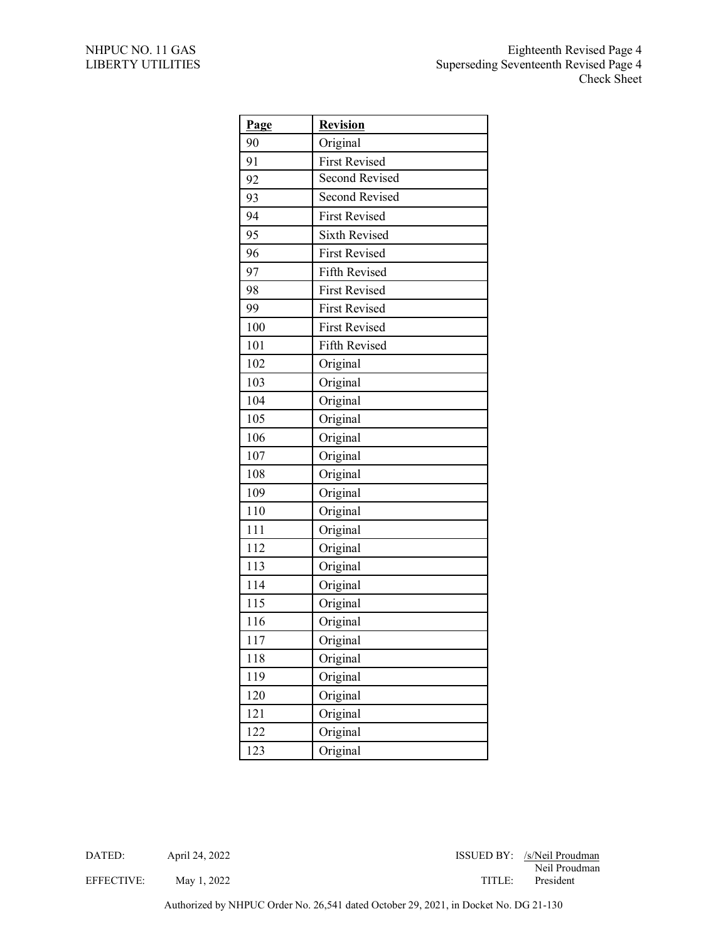| Page | <b>Revision</b>       |
|------|-----------------------|
| 90   | Original              |
| 91   | <b>First Revised</b>  |
| 92   | <b>Second Revised</b> |
| 93   | <b>Second Revised</b> |
| 94   | <b>First Revised</b>  |
| 95   | <b>Sixth Revised</b>  |
| 96   | <b>First Revised</b>  |
| 97   | Fifth Revised         |
| 98   | <b>First Revised</b>  |
| 99   | <b>First Revised</b>  |
| 100  | <b>First Revised</b>  |
| 101  | Fifth Revised         |
| 102  | Original              |
| 103  | Original              |
| 104  | Original              |
| 105  | Original              |
| 106  | Original              |
| 107  | Original              |
| 108  | Original              |
| 109  | Original              |
| 110  | Original              |
| 111  | Original              |
| 112  | Original              |
| 113  | Original              |
| 114  | Original              |
| 115  | Original              |
| 116  | Original              |
| 117  | Original              |
| 118  | Original              |
| 119  | Original              |
| 120  | Original              |
| 121  | Original              |
| 122  | Original              |
| 123  | Original              |

DATED: April 24, 2022 April 24, 2022 ISSUED BY: /s/Neil Proudman Neil Proudman

EFFECTIVE: May 1, 2022 TITLE: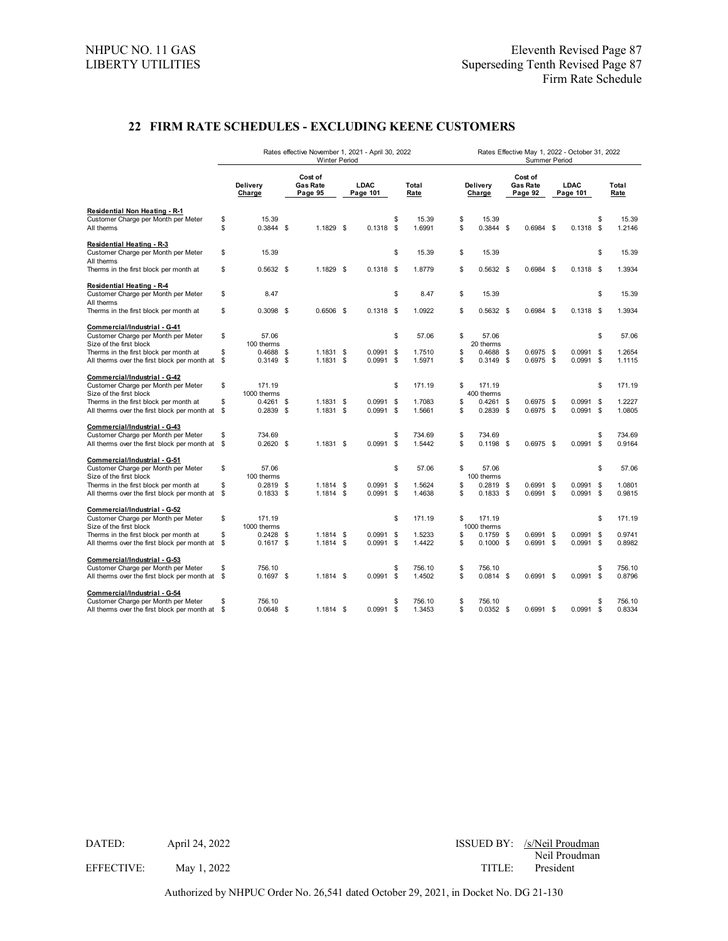## **22 FIRM RATE SCHEDULES - EXCLUDING KEENE CUSTOMERS**

|                                                                                     | Rates effective November 1, 2021 - April 30, 2022<br><b>Winter Period</b> |                       |               |                                       |  |                  | Rates Effective May 1, 2022 - October 31, 2022<br>Summer Period |                  |          |                            |  |                                       |  |                         |                |                  |
|-------------------------------------------------------------------------------------|---------------------------------------------------------------------------|-----------------------|---------------|---------------------------------------|--|------------------|-----------------------------------------------------------------|------------------|----------|----------------------------|--|---------------------------------------|--|-------------------------|----------------|------------------|
|                                                                                     |                                                                           | Delivery<br>Charge    |               | Cost of<br><b>Gas Rate</b><br>Page 95 |  | LDAC<br>Page 101 |                                                                 | Total<br>Rate    |          | Delivery<br>Charge         |  | Cost of<br><b>Gas Rate</b><br>Page 92 |  | <b>LDAC</b><br>Page 101 |                | Total<br>Rate    |
| Residential Non Heating - R-1                                                       |                                                                           |                       |               |                                       |  |                  |                                                                 |                  |          |                            |  |                                       |  |                         |                |                  |
| Customer Charge per Month per Meter<br>All therms                                   | \$<br>\$                                                                  | 15.39<br>$0.3844$ \$  |               | $1.1829$ \$                           |  | $0.1318$ \$      | \$                                                              | 15.39<br>1.6991  | \$<br>\$ | 15.39<br>$0.3844$ \$       |  | $0.6984$ \$                           |  | $0.1318$ \$             | \$             | 15.39<br>1.2146  |
| <b>Residential Heating - R-3</b><br>Customer Charge per Month per Meter             | \$                                                                        | 15.39                 |               |                                       |  |                  | \$                                                              | 15.39            | \$       | 15.39                      |  |                                       |  |                         | \$             | 15.39            |
| All therms<br>Therms in the first block per month at                                | \$                                                                        | $0.5632$ \$           |               | $1.1829$ \$                           |  | $0.1318$ \$      |                                                                 | 1.8779           | \$       | $0.5632$ \$                |  | $0.6984$ \$                           |  | $0.1318$ \$             |                | 1.3934           |
| <b>Residential Heating - R-4</b><br>Customer Charge per Month per Meter             | \$                                                                        | 8.47                  |               |                                       |  |                  | \$                                                              | 8.47             | \$       | 15.39                      |  |                                       |  |                         | \$             | 15.39            |
| All therms<br>Therms in the first block per month at                                | \$                                                                        | $0.3098$ \$           |               | $0.6506$ \$                           |  | $0.1318$ \$      |                                                                 | 1.0922           | \$       | $0.5632$ \$                |  | $0.6984$ \$                           |  | 0.1318                  | - \$           | 1.3934           |
| Commercial/Industrial - G-41                                                        |                                                                           |                       |               |                                       |  |                  |                                                                 |                  |          |                            |  |                                       |  |                         |                |                  |
| Customer Charge per Month per Meter<br>Size of the first block                      | \$                                                                        | 57.06<br>100 therms   |               |                                       |  |                  | \$                                                              | 57.06            | \$       | 57.06<br>20 therms         |  |                                       |  |                         | \$             | 57.06            |
| Therms in the first block per month at                                              | \$                                                                        | $0.4688$ \$           |               | $1.1831$ \$                           |  | $0.0991$ \$      |                                                                 | 1.7510           | \$       | $0.4688$ \$                |  | $0.6975$ \$                           |  | 0.0991                  | - \$           | 1.2654           |
| All therms over the first block per month at                                        | \$                                                                        | $0.3149$ \$           |               | $1.1831$ \$                           |  | $0.0991$ \$      |                                                                 | 1.5971           | \$       | $0.3149$ \$                |  | $0.6975$ \$                           |  | 0.0991                  | <b>S</b>       | 1.1115           |
| Commercial/Industrial - G-42<br>Customer Charge per Month per Meter                 | \$                                                                        | 171.19                |               |                                       |  |                  | \$                                                              | 171.19           | \$       | 171.19                     |  |                                       |  |                         | \$             | 171.19           |
| Size of the first block                                                             |                                                                           | 1000 therms           |               |                                       |  |                  |                                                                 |                  |          | 400 therms                 |  |                                       |  |                         |                |                  |
| Therms in the first block per month at                                              | \$                                                                        | $0.4261$ \$           |               | $1.1831$ \$                           |  | $0.0991$ \$      |                                                                 | 1.7083           | \$       | $0.4261$ \$                |  | $0.6975$ \$                           |  | 0.0991                  | - \$           | 1.2227           |
| All therms over the first block per month at                                        | \$                                                                        | 0.2839                | $\mathfrak s$ | $1.1831$ \$                           |  | $0.0991$ \$      |                                                                 | 1.5661           | \$       | $0.2839$ \$                |  | $0.6975$ \$                           |  | $0.0991$ \$             |                | 1.0805           |
| Commercial/Industrial - G-43                                                        |                                                                           |                       |               |                                       |  |                  |                                                                 |                  |          |                            |  |                                       |  |                         |                |                  |
| Customer Charge per Month per Meter<br>All therms over the first block per month at | \$<br>\$                                                                  | 734.69<br>$0.2620$ \$ |               | $1.1831$ \$                           |  | 0.0991           | \$<br>\$                                                        | 734.69<br>1.5442 | \$<br>\$ | 734.69<br>$0.1198$ \$      |  | $0.6975$ \$                           |  | 0.0991                  | \$<br><b>S</b> | 734.69<br>0.9164 |
|                                                                                     |                                                                           |                       |               |                                       |  |                  |                                                                 |                  |          |                            |  |                                       |  |                         |                |                  |
| Commercial/Industrial - G-51<br>Customer Charge per Month per Meter                 | \$                                                                        | 57.06                 |               |                                       |  |                  | \$                                                              | 57.06            | \$       | 57.06                      |  |                                       |  |                         | \$             | 57.06            |
| Size of the first block                                                             |                                                                           | 100 therms            |               |                                       |  |                  |                                                                 |                  |          | 100 therms                 |  |                                       |  |                         |                |                  |
| Therms in the first block per month at                                              | \$                                                                        | 0.2819                | \$            | $1.1814$ \$                           |  | 0.0991           | \$                                                              | 1.5624           | \$       | $0.2819$ \$                |  | $0.6991$ \$                           |  | 0.0991                  | -S             | 1.0801           |
| All therms over the first block per month at                                        | \$                                                                        | 0.1833                | \$            | $1.1814$ \$                           |  | $0.0991$ \$      |                                                                 | 1.4638           | \$       | $0.1833$ \$                |  | $0.6991$ \$                           |  | 0.0991                  | \$             | 0.9815           |
| Commercial/Industrial - G-52                                                        |                                                                           |                       |               |                                       |  |                  |                                                                 |                  |          |                            |  |                                       |  |                         |                |                  |
| Customer Charge per Month per Meter                                                 | \$                                                                        | 171.19                |               |                                       |  |                  | \$                                                              | 171.19           | \$       | 171.19                     |  |                                       |  |                         | \$             | 171.19           |
| Size of the first block<br>Therms in the first block per month at                   | \$                                                                        | 1000 therms<br>0.2428 | \$            | $1.1814$ \$                           |  | 0.0991           | \$                                                              | 1.5233           | \$       | 1000 therms<br>$0.1759$ \$ |  | $0.6991$ \$                           |  | 0.0991                  | <b>S</b>       | 0.9741           |
| All therms over the first block per month at                                        | \$                                                                        | 0.1617                | \$            | $1.1814$ \$                           |  | $0.0991$ \$      |                                                                 | 1.4422           | \$       | $0.1000$ \$                |  | $0.6991$ \$                           |  | $0.0991$ \$             |                | 0.8982           |
|                                                                                     |                                                                           |                       |               |                                       |  |                  |                                                                 |                  |          |                            |  |                                       |  |                         |                |                  |
| Commercial/Industrial - G-53<br>Customer Charge per Month per Meter                 | \$                                                                        | 756.10                |               |                                       |  |                  | \$                                                              | 756.10           | \$       | 756.10                     |  |                                       |  |                         | \$             | 756.10           |
| All therms over the first block per month at \$                                     |                                                                           | $0.1697$ \$           |               | $1.1814$ \$                           |  | $0.0991$ \$      |                                                                 | 1.4502           | \$       | $0.0814$ \$                |  | $0.6991$ \$                           |  | 0.0991                  | <b>S</b>       | 0.8796           |
| Commercial/Industrial - G-54                                                        |                                                                           |                       |               |                                       |  |                  |                                                                 |                  |          |                            |  |                                       |  |                         |                |                  |
| Customer Charge per Month per Meter                                                 | \$                                                                        | 756.10                |               |                                       |  |                  | \$                                                              | 756.10           | \$       | 756.10                     |  |                                       |  |                         | \$             | 756.10           |
| All therms over the first block per month at                                        | \$                                                                        | $0.0648$ \$           |               | $1.1814$ \$                           |  | 0.0991           | \$                                                              | 1.3453           | \$       | $0.0352$ \$                |  | $0.6991$ \$                           |  | 0.0991                  | <b>S</b>       | 0.8334           |

DATED: April 24, 2022 April 24, 2022 ISSUED BY: /s/Neil Proudman Neil Proudman

EFFECTIVE: May 1, 2022 TITLE: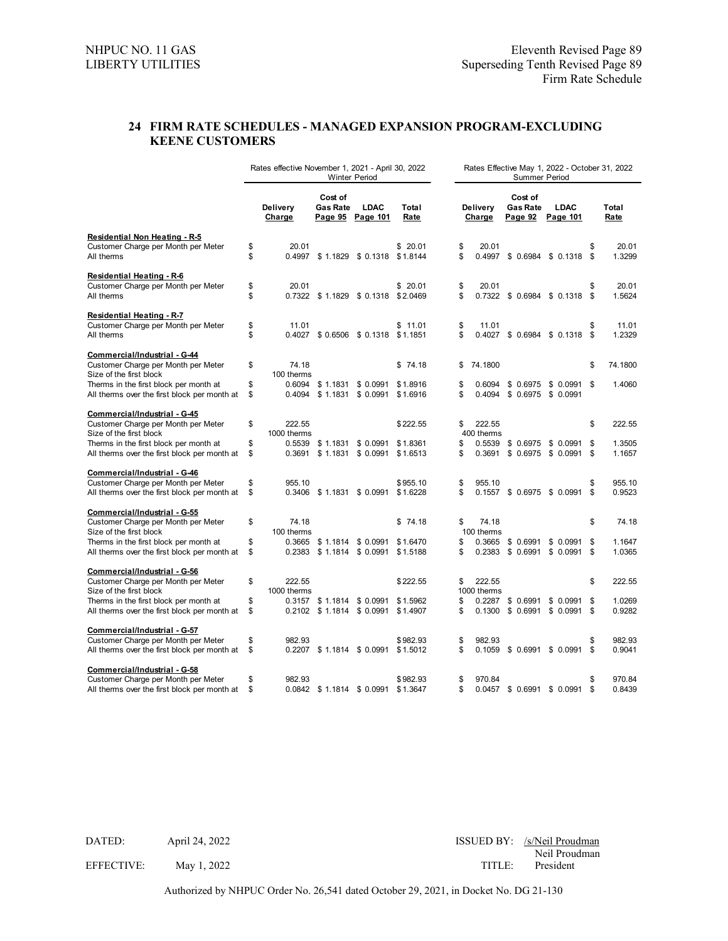## **24 FIRM RATE SCHEDULES - MANAGED EXPANSION PROGRAM-EXCLUDING KEENE CUSTOMERS**

|                                                                                        | Rates effective November 1, 2021 - April 30, 2022<br><b>Winter Period</b> |                     |                            |                                                                    |                      |          |                       |                                       | Rates Effective May 1, 2022 - October 31, 2022<br><b>Summer Period</b> |          |                  |
|----------------------------------------------------------------------------------------|---------------------------------------------------------------------------|---------------------|----------------------------|--------------------------------------------------------------------|----------------------|----------|-----------------------|---------------------------------------|------------------------------------------------------------------------|----------|------------------|
|                                                                                        |                                                                           | Delivery<br>Charge  | Cost of<br><b>Gas Rate</b> | <b>LDAC</b><br>Page 95 Page 101                                    | Total<br>Rate        |          | Delivery<br>Charge    | Cost of<br><b>Gas Rate</b><br>Page 92 | <b>LDAC</b><br>Page 101                                                |          | Total<br>Rate    |
| <b>Residential Non Heating - R-5</b><br>Customer Charge per Month per Meter            | \$                                                                        | 20.01               |                            |                                                                    | \$20.01              | \$       | 20.01                 |                                       |                                                                        | \$       | 20.01            |
| All therms                                                                             | \$                                                                        |                     |                            | 0.4997 \$1.1829 \$0.1318 \$1.8144                                  |                      | \$       |                       |                                       | 0.4997 \$ 0.6984 \$ 0.1318 \$                                          |          | 1.3299           |
| <b>Residential Heating - R-6</b>                                                       |                                                                           |                     |                            |                                                                    |                      |          |                       |                                       |                                                                        |          |                  |
| Customer Charge per Month per Meter<br>All therms                                      | \$<br>\$                                                                  | 20.01               |                            | 0.7322 \$1.1829 \$0.1318                                           | \$20.01<br>\$2.0469  | \$<br>\$ | 20.01                 |                                       | 0.7322 \$ 0.6984 \$ 0.1318 \$                                          | \$       | 20.01<br>1.5624  |
| <b>Residential Heating - R-7</b>                                                       |                                                                           |                     |                            |                                                                    |                      |          |                       |                                       |                                                                        |          |                  |
| Customer Charge per Month per Meter                                                    | \$                                                                        | 11.01               |                            |                                                                    | \$11.01              | \$       | 11.01                 |                                       |                                                                        | \$       | 11.01            |
| All therms                                                                             | \$                                                                        |                     |                            | 0.4027 \$ 0.6506 \$ 0.1318                                         | \$1.1851             | \$       |                       |                                       | 0.4027 \$ 0.6984 \$ 0.1318                                             | \$       | 1.2329           |
| Commercial/Industrial - G-44                                                           |                                                                           |                     |                            |                                                                    |                      |          |                       |                                       |                                                                        |          |                  |
| Customer Charge per Month per Meter<br>Size of the first block                         | \$                                                                        | 74.18<br>100 therms |                            |                                                                    | \$74.18              | \$       | 74.1800               |                                       |                                                                        | \$       | 74.1800          |
| Therms in the first block per month at                                                 | \$                                                                        |                     |                            | 0.6094 \$1.1831 \$0.0991                                           | \$1,8916             | \$       | 0.6094                |                                       | $$0.6975$ \$ 0.0991 \$                                                 |          | 1.4060           |
| All therms over the first block per month at                                           | \$                                                                        | 0.4094              |                            | $$1.1831$ $$0.0991$                                                | \$1.6916             | \$       | 0.4094                |                                       | $$0.6975$ \$ 0.0991                                                    |          |                  |
| Commercial/Industrial - G-45                                                           |                                                                           |                     |                            |                                                                    |                      |          |                       |                                       |                                                                        |          |                  |
| Customer Charge per Month per Meter                                                    | \$                                                                        | 222.55              |                            |                                                                    | \$222.55             | \$       | 222.55                |                                       |                                                                        | \$       | 222.55           |
| Size of the first block                                                                |                                                                           | 1000 therms         |                            |                                                                    |                      |          | 400 therms            |                                       |                                                                        |          |                  |
| Therms in the first block per month at                                                 | \$                                                                        |                     |                            | 0.5539 \$1.1831 \$0.0991                                           | \$1.8361             | \$       | 0.5539                |                                       | $$0.6975$ $$0.0991$                                                    | \$       | 1.3505           |
| All therms over the first block per month at                                           | \$                                                                        |                     |                            | $0.3691$ \$ 1.1831 \$ 0.0991                                       | \$1.6513             | \$       |                       |                                       | 0.3691 \$ 0.6975 \$ 0.0991                                             | \$       | 1.1657           |
| Commercial/Industrial - G-46                                                           |                                                                           |                     |                            |                                                                    |                      |          |                       |                                       |                                                                        |          |                  |
| Customer Charge per Month per Meter                                                    | \$                                                                        | 955.10              |                            |                                                                    | \$955.10             | \$       | 955.10                |                                       |                                                                        | \$       | 955.10           |
| All therms over the first block per month at                                           | \$                                                                        |                     |                            | $0.3406$ \$ 1.1831 \$ 0.0991                                       | \$1.6228             | \$       |                       |                                       | 0.1557 \$ 0.6975 \$ 0.0991                                             | \$       | 0.9523           |
| Commercial/Industrial - G-55                                                           |                                                                           |                     |                            |                                                                    |                      |          |                       |                                       |                                                                        |          |                  |
| Customer Charge per Month per Meter                                                    | \$                                                                        | 74.18               |                            |                                                                    | \$74.18              | \$       | 74.18                 |                                       |                                                                        | \$       | 74.18            |
| Size of the first block                                                                |                                                                           | 100 therms          |                            |                                                                    |                      |          | 100 therms            |                                       |                                                                        |          |                  |
| Therms in the first block per month at<br>All therms over the first block per month at | \$<br>\$                                                                  | 0.3665              |                            | \$1.1814 \$0.0991<br>$0.2383$ \$1.1814 \$0.0991                    | \$1.6470<br>\$1.5188 | \$<br>\$ | 0.3665<br>0.2383      | \$0.6991                              | \$0.0991<br>$$0.6991$ \$ 0.0991                                        | \$<br>\$ | 1.1647<br>1.0365 |
|                                                                                        |                                                                           |                     |                            |                                                                    |                      |          |                       |                                       |                                                                        |          |                  |
| Commercial/Industrial - G-56                                                           |                                                                           |                     |                            |                                                                    |                      |          |                       |                                       |                                                                        |          |                  |
| Customer Charge per Month per Meter                                                    | \$                                                                        | 222.55              |                            |                                                                    | \$222.55             | \$       | 222.55                |                                       |                                                                        | \$       | 222.55           |
| Size of the first block                                                                | \$                                                                        | 1000 therms         |                            |                                                                    | \$1.5962             | \$       | 1000 therms<br>0.2287 |                                       |                                                                        | \$       | 1.0269           |
| Therms in the first block per month at<br>All therms over the first block per month at | \$                                                                        |                     |                            | $0.3157$ \$1.1814 \$0.0991<br>$0.2102 \quad $1.1814 \quad $0.0991$ | \$1.4907             | \$       | 0.1300                | \$ 0.6991                             | \$0.0991<br>$$0.6991$ \$ 0.0991                                        | \$       | 0.9282           |
|                                                                                        |                                                                           |                     |                            |                                                                    |                      |          |                       |                                       |                                                                        |          |                  |
| Commercial/Industrial - G-57                                                           |                                                                           |                     |                            |                                                                    |                      |          |                       |                                       |                                                                        |          |                  |
| Customer Charge per Month per Meter<br>All therms over the first block per month at    | \$<br>\$                                                                  | 982.93              |                            | 0.2207 \$1.1814 \$0.0991 \$1.5012                                  | \$982.93             | \$<br>\$ | 982.93                |                                       | 0.1059 \$ 0.6991 \$ 0.0991 \$                                          | \$       | 982.93<br>0.9041 |
|                                                                                        |                                                                           |                     |                            |                                                                    |                      |          |                       |                                       |                                                                        |          |                  |
| Commercial/Industrial - G-58                                                           |                                                                           |                     |                            |                                                                    |                      |          |                       |                                       |                                                                        |          |                  |
| Customer Charge per Month per Meter<br>All therms over the first block per month at    | \$<br>\$                                                                  | 982.93              |                            | 0.0842 \$1.1814 \$0.0991                                           | \$982.93<br>\$1.3647 | \$<br>\$ | 970.84<br>0.0457      | \$ 0.6991                             | \$0.0991                                                               | \$<br>\$ | 970.84<br>0.8439 |
|                                                                                        |                                                                           |                     |                            |                                                                    |                      |          |                       |                                       |                                                                        |          |                  |

DATED: April 24, 2022 April 24, 2022 ISSUED BY: /s/Neil Proudman Neil Proudman EFFECTIVE: May 1, 2022 TITLE: President